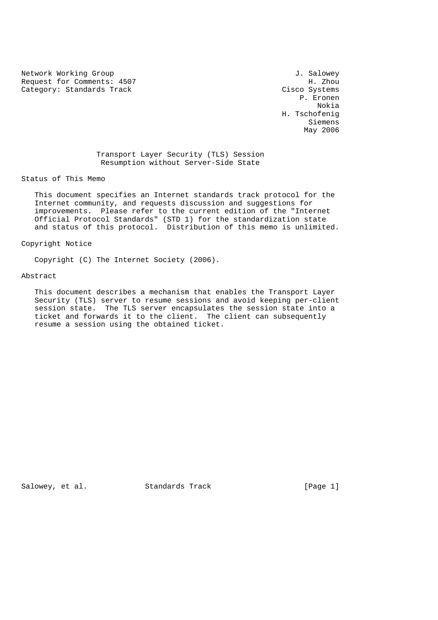Network Working Group<br>Request for Comments: 4507 Media and Manuscriptus and J. Salowey Request for Comments: 4507 Category: Standards Track Cisco Systems

 P. Eronen Nokia H. Tschofenig Siemens May 2006 and the May 2006 state of the May 2006 state of the May 2006 state of the May 2006 state of the May 2006 state of the May 2006 state of the May 2006 state of the May 2006 state of the May 2006 state of the May 200

> Transport Layer Security (TLS) Session Resumption without Server-Side State

Status of This Memo

 This document specifies an Internet standards track protocol for the Internet community, and requests discussion and suggestions for improvements. Please refer to the current edition of the "Internet Official Protocol Standards" (STD 1) for the standardization state and status of this protocol. Distribution of this memo is unlimited.

Copyright Notice

Copyright (C) The Internet Society (2006).

Abstract

 This document describes a mechanism that enables the Transport Layer Security (TLS) server to resume sessions and avoid keeping per-client session state. The TLS server encapsulates the session state into a ticket and forwards it to the client. The client can subsequently resume a session using the obtained ticket.

Salowey, et al. Standards Track [Page 1]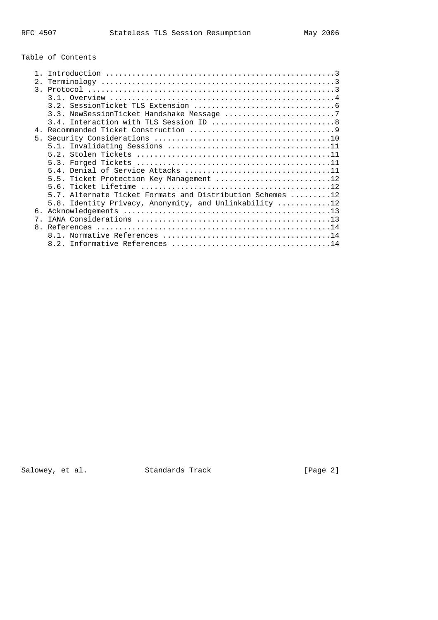# Table of Contents

| 2.               |                                                           |
|------------------|-----------------------------------------------------------|
| $\overline{3}$ . |                                                           |
|                  |                                                           |
|                  |                                                           |
|                  | 3.3. NewSessionTicket Handshake Message 7                 |
|                  |                                                           |
| $\overline{4}$   |                                                           |
| 5.               |                                                           |
|                  |                                                           |
|                  |                                                           |
|                  |                                                           |
|                  |                                                           |
|                  |                                                           |
|                  |                                                           |
|                  | 5.7. Alternate Ticket Formats and Distribution Schemes 12 |
|                  | 5.8. Identity Privacy, Anonymity, and Unlinkability 12    |
| б.               |                                                           |
|                  |                                                           |
| 8 <sub>1</sub>   |                                                           |
|                  |                                                           |
|                  |                                                           |

Salowey, et al. Standards Track Frack [Page 2]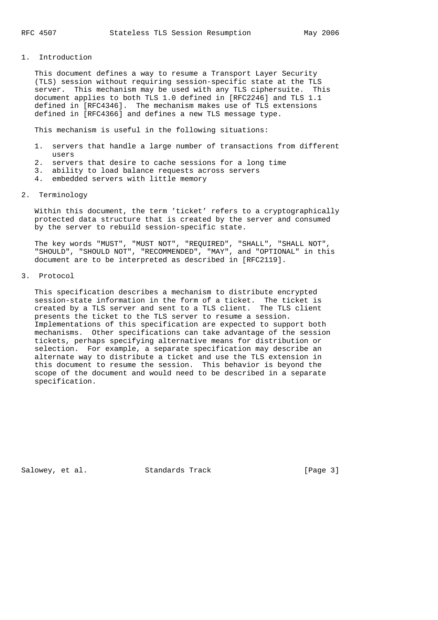### 1. Introduction

 This document defines a way to resume a Transport Layer Security (TLS) session without requiring session-specific state at the TLS server. This mechanism may be used with any TLS ciphersuite. This document applies to both TLS 1.0 defined in [RFC2246] and TLS 1.1 defined in [RFC4346]. The mechanism makes use of TLS extensions defined in [RFC4366] and defines a new TLS message type.

This mechanism is useful in the following situations:

- 1. servers that handle a large number of transactions from different users
- 2. servers that desire to cache sessions for a long time
- 3. ability to load balance requests across servers
- 4. embedded servers with little memory
- 2. Terminology

 Within this document, the term 'ticket' refers to a cryptographically protected data structure that is created by the server and consumed by the server to rebuild session-specific state.

 The key words "MUST", "MUST NOT", "REQUIRED", "SHALL", "SHALL NOT", "SHOULD", "SHOULD NOT", "RECOMMENDED", "MAY", and "OPTIONAL" in this document are to be interpreted as described in [RFC2119].

3. Protocol

 This specification describes a mechanism to distribute encrypted session-state information in the form of a ticket. The ticket is created by a TLS server and sent to a TLS client. The TLS client presents the ticket to the TLS server to resume a session. Implementations of this specification are expected to support both mechanisms. Other specifications can take advantage of the session tickets, perhaps specifying alternative means for distribution or selection. For example, a separate specification may describe an alternate way to distribute a ticket and use the TLS extension in this document to resume the session. This behavior is beyond the scope of the document and would need to be described in a separate specification.

Salowey, et al. Standards Track [Page 3]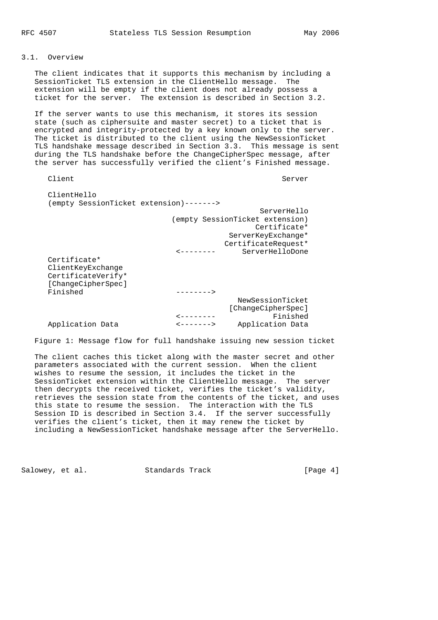## 3.1. Overview

 The client indicates that it supports this mechanism by including a SessionTicket TLS extension in the ClientHello message. The extension will be empty if the client does not already possess a ticket for the server. The extension is described in Section 3.2.

 If the server wants to use this mechanism, it stores its session state (such as ciphersuite and master secret) to a ticket that is encrypted and integrity-protected by a key known only to the server. The ticket is distributed to the client using the NewSessionTicket TLS handshake message described in Section 3.3. This message is sent during the TLS handshake before the ChangeCipherSpec message, after the server has successfully verified the client's Finished message.

Client Server Server Server Server Server Server Server Server Server Server Server Server Server Server Server ClientHello (empty SessionTicket extension)-------> ServerHello (empty SessionTicket extension) Certificate\* ServerKeyExchange\* CertificateRequest\* <-------- ServerHelloDone Certificate\* ClientKeyExchange CertificateVerify\* [ChangeCipherSpec] Finished --------> NewSessionTicket [ChangeCipherSpec] <-------- Finished Application Data <-------> Application Data

Figure 1: Message flow for full handshake issuing new session ticket

 The client caches this ticket along with the master secret and other parameters associated with the current session. When the client wishes to resume the session, it includes the ticket in the SessionTicket extension within the ClientHello message. The server then decrypts the received ticket, verifies the ticket's validity, retrieves the session state from the contents of the ticket, and uses this state to resume the session. The interaction with the TLS Session ID is described in Section 3.4. If the server successfully verifies the client's ticket, then it may renew the ticket by including a NewSessionTicket handshake message after the ServerHello.

Salowey, et al. Standards Track [Page 4]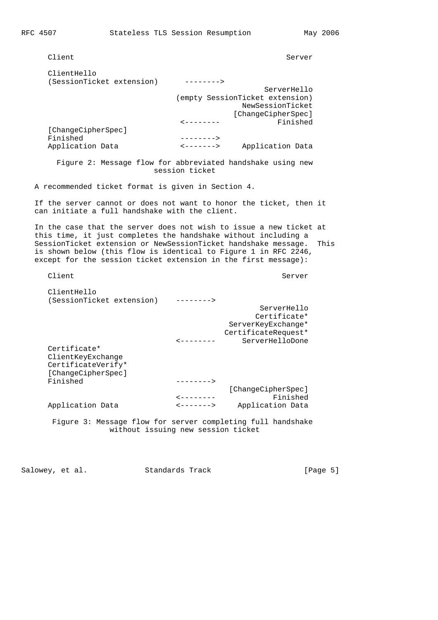Client Server Server Server Server Server Server Server Server Server Server Server Server Server Server Server ClientHello (SessionTicket extension) --------> ServerHello (empty SessionTicket extension) NewSessionTicket [ChangeCipherSpec] <-------- Finished [ChangeCipherSpec] Finished --------> Application Data <-------> Application Data Figure 2: Message flow for abbreviated handshake using new session ticket A recommended ticket format is given in Section 4. If the server cannot or does not want to honor the ticket, then it can initiate a full handshake with the client. In the case that the server does not wish to issue a new ticket at this time, it just completes the handshake without including a SessionTicket extension or NewSessionTicket handshake message. This is shown below (this flow is identical to Figure 1 in RFC 2246, except for the session ticket extension in the first message): Client Server Server Server Server Server Server Server Server Server Server Server Server Server Server Server ClientHello (SessionTicket extension) --------> ServerHello Certificate\* ServerKeyExchange\* CertificateRequest\* <-------- ServerHelloDone Certificate\* ClientKeyExchange CertificateVerify\* [ChangeCipherSpec] Finished --------> [ChangeCipherSpec] <-------- Finished Application Data <-------> Application Data Figure 3: Message flow for server completing full handshake without issuing new session ticket

Salowey, et al. Standards Track [Page 5]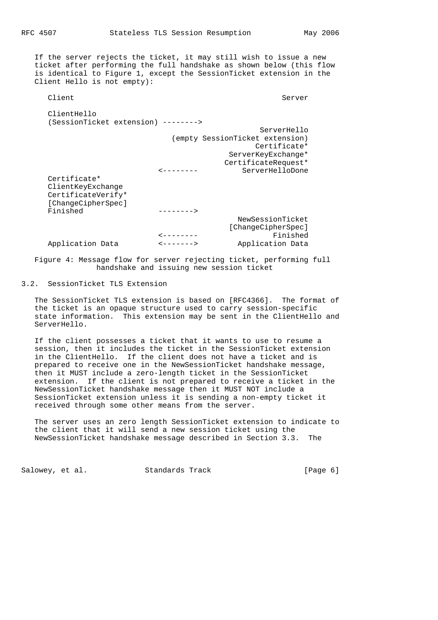If the server rejects the ticket, it may still wish to issue a new ticket after performing the full handshake as shown below (this flow is identical to Figure 1, except the SessionTicket extension in the Client Hello is not empty):

Client Server Server Server Server Server Server Server Server Server Server Server Server Server Server Server ClientHello (SessionTicket extension) --------> ServerHello (empty SessionTicket extension) Certificate\* ServerKeyExchange\* CertificateRequest\* <-------- ServerHelloDone Certificate\* ClientKeyExchange CertificateVerify\* [ChangeCipherSpec] Finished --------> NewSessionTicket [ChangeCipherSpec] <-------- Finished Application Data <-------> Application Data

 Figure 4: Message flow for server rejecting ticket, performing full handshake and issuing new session ticket

# 3.2. SessionTicket TLS Extension

 The SessionTicket TLS extension is based on [RFC4366]. The format of the ticket is an opaque structure used to carry session-specific state information. This extension may be sent in the ClientHello and ServerHello.

 If the client possesses a ticket that it wants to use to resume a session, then it includes the ticket in the SessionTicket extension in the ClientHello. If the client does not have a ticket and is prepared to receive one in the NewSessionTicket handshake message, then it MUST include a zero-length ticket in the SessionTicket extension. If the client is not prepared to receive a ticket in the NewSessionTicket handshake message then it MUST NOT include a SessionTicket extension unless it is sending a non-empty ticket it received through some other means from the server.

 The server uses an zero length SessionTicket extension to indicate to the client that it will send a new session ticket using the NewSessionTicket handshake message described in Section 3.3. The

Salowey, et al. Standards Track [Page 6]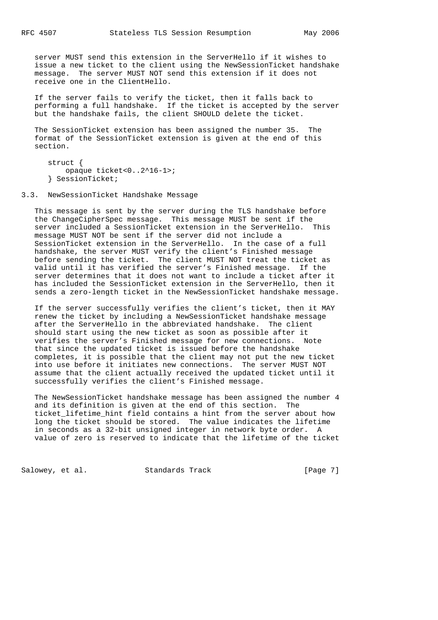server MUST send this extension in the ServerHello if it wishes to issue a new ticket to the client using the NewSessionTicket handshake message. The server MUST NOT send this extension if it does not receive one in the ClientHello.

 If the server fails to verify the ticket, then it falls back to performing a full handshake. If the ticket is accepted by the server but the handshake fails, the client SHOULD delete the ticket.

 The SessionTicket extension has been assigned the number 35. The format of the SessionTicket extension is given at the end of this section.

```
 struct {
    opaque ticket<0..2^16-1>;
 } SessionTicket;
```
3.3. NewSessionTicket Handshake Message

 This message is sent by the server during the TLS handshake before the ChangeCipherSpec message. This message MUST be sent if the server included a SessionTicket extension in the ServerHello. This message MUST NOT be sent if the server did not include a SessionTicket extension in the ServerHello. In the case of a full handshake, the server MUST verify the client's Finished message before sending the ticket. The client MUST NOT treat the ticket as valid until it has verified the server's Finished message. If the server determines that it does not want to include a ticket after it has included the SessionTicket extension in the ServerHello, then it sends a zero-length ticket in the NewSessionTicket handshake message.

 If the server successfully verifies the client's ticket, then it MAY renew the ticket by including a NewSessionTicket handshake message after the ServerHello in the abbreviated handshake. The client should start using the new ticket as soon as possible after it verifies the server's Finished message for new connections. Note that since the updated ticket is issued before the handshake completes, it is possible that the client may not put the new ticket into use before it initiates new connections. The server MUST NOT assume that the client actually received the updated ticket until it successfully verifies the client's Finished message.

 The NewSessionTicket handshake message has been assigned the number 4 and its definition is given at the end of this section. The ticket\_lifetime\_hint field contains a hint from the server about how long the ticket should be stored. The value indicates the lifetime in seconds as a 32-bit unsigned integer in network byte order. A value of zero is reserved to indicate that the lifetime of the ticket

Salowey, et al. Standards Track [Page 7]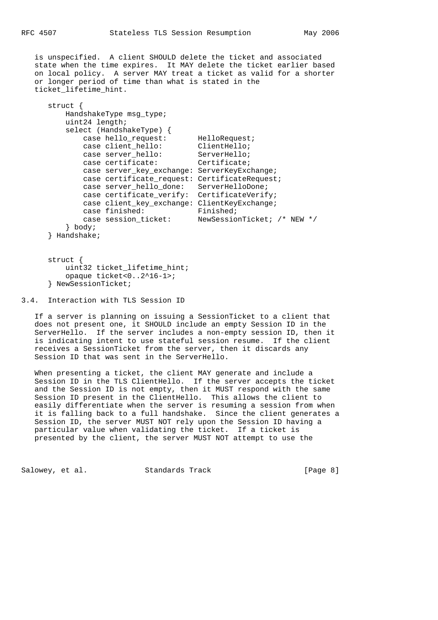is unspecified. A client SHOULD delete the ticket and associated state when the time expires. It MAY delete the ticket earlier based on local policy. A server MAY treat a ticket as valid for a shorter or longer period of time than what is stated in the ticket\_lifetime\_hint.

```
 struct {
        HandshakeType msg_type;
        uint24 length;
         select (HandshakeType) {
           case hello request: HelloRequest;
           case client hello: ClientHello;
case server_hello: ServerHello;
case certificate: Certificate;
            case server_key_exchange: ServerKeyExchange;
            case certificate_request: CertificateRequest;
 case server_hello_done: ServerHelloDone;
 case certificate_verify: CertificateVerify;
            case client_key_exchange: ClientKeyExchange;
 case finished: Finished;
 case session_ticket: NewSessionTicket; /* NEW */
         } body;
```
} Handshake;

 struct { uint32 ticket lifetime hint; opaque ticket<0..2^16-1>; } NewSessionTicket;

3.4. Interaction with TLS Session ID

 If a server is planning on issuing a SessionTicket to a client that does not present one, it SHOULD include an empty Session ID in the ServerHello. If the server includes a non-empty session ID, then it is indicating intent to use stateful session resume. If the client receives a SessionTicket from the server, then it discards any Session ID that was sent in the ServerHello.

 When presenting a ticket, the client MAY generate and include a Session ID in the TLS ClientHello. If the server accepts the ticket and the Session ID is not empty, then it MUST respond with the same Session ID present in the ClientHello. This allows the client to easily differentiate when the server is resuming a session from when it is falling back to a full handshake. Since the client generates a Session ID, the server MUST NOT rely upon the Session ID having a particular value when validating the ticket. If a ticket is presented by the client, the server MUST NOT attempt to use the

Salowey, et al. Standards Track [Page 8]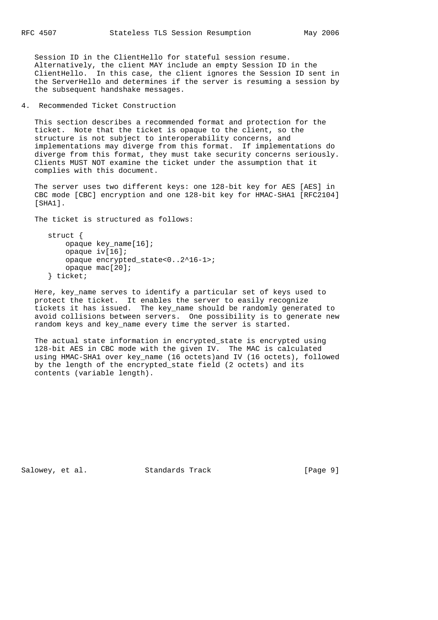Session ID in the ClientHello for stateful session resume. Alternatively, the client MAY include an empty Session ID in the ClientHello. In this case, the client ignores the Session ID sent in the ServerHello and determines if the server is resuming a session by the subsequent handshake messages.

4. Recommended Ticket Construction

 This section describes a recommended format and protection for the ticket. Note that the ticket is opaque to the client, so the structure is not subject to interoperability concerns, and implementations may diverge from this format. If implementations do diverge from this format, they must take security concerns seriously. Clients MUST NOT examine the ticket under the assumption that it complies with this document.

 The server uses two different keys: one 128-bit key for AES [AES] in CBC mode [CBC] encryption and one 128-bit key for HMAC-SHA1 [RFC2104] [SHA1].

The ticket is structured as follows:

```
 struct {
     opaque key_name[16];
     opaque iv[16];
     opaque encrypted_state<0..2^16-1>;
     opaque mac[20];
 } ticket;
```
 Here, key\_name serves to identify a particular set of keys used to protect the ticket. It enables the server to easily recognize tickets it has issued. The key\_name should be randomly generated to avoid collisions between servers. One possibility is to generate new random keys and key\_name every time the server is started.

 The actual state information in encrypted\_state is encrypted using 128-bit AES in CBC mode with the given IV. The MAC is calculated using HMAC-SHA1 over key\_name (16 octets)and IV (16 octets), followed by the length of the encrypted\_state field (2 octets) and its contents (variable length).

Salowey, et al. Standards Track [Page 9]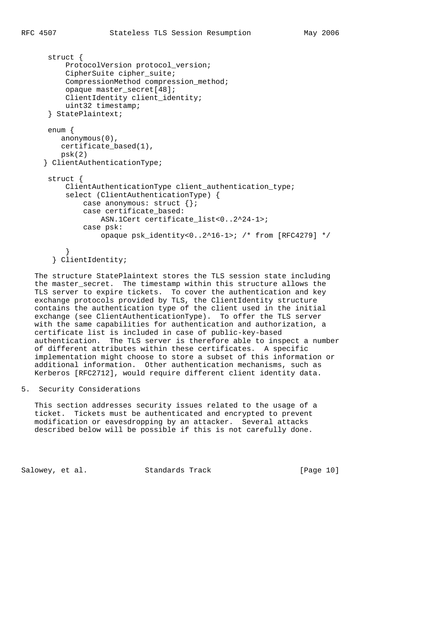```
 struct {
           ProtocolVersion protocol_version;
           CipherSuite cipher_suite;
           CompressionMethod compression_method;
           opaque master_secret[48];
          ClientIdentity client identity;
           uint32 timestamp;
       } StatePlaintext;
       enum {
         anonymous(0),
         certificate_based(1),
         psk(2)
      } ClientAuthenticationType;
       struct {
          ClientAuthenticationType client_authentication_type;
           select (ClientAuthenticationType) {
             case anonymous: struct {};
              case certificate based:
                  ASN.1Cert certificate list<0..2^24-1>;
               case psk:
                  opaque psk identity<0..2^16-1>; /* from [RFC4279] */
 }
        } ClientIdentity;
```
 The structure StatePlaintext stores the TLS session state including the master\_secret. The timestamp within this structure allows the TLS server to expire tickets. To cover the authentication and key exchange protocols provided by TLS, the ClientIdentity structure contains the authentication type of the client used in the initial exchange (see ClientAuthenticationType). To offer the TLS server with the same capabilities for authentication and authorization, a certificate list is included in case of public-key-based authentication. The TLS server is therefore able to inspect a number of different attributes within these certificates. A specific implementation might choose to store a subset of this information or additional information. Other authentication mechanisms, such as Kerberos [RFC2712], would require different client identity data.

# 5. Security Considerations

 This section addresses security issues related to the usage of a ticket. Tickets must be authenticated and encrypted to prevent modification or eavesdropping by an attacker. Several attacks described below will be possible if this is not carefully done.

Salowey, et al. Standards Track [Page 10]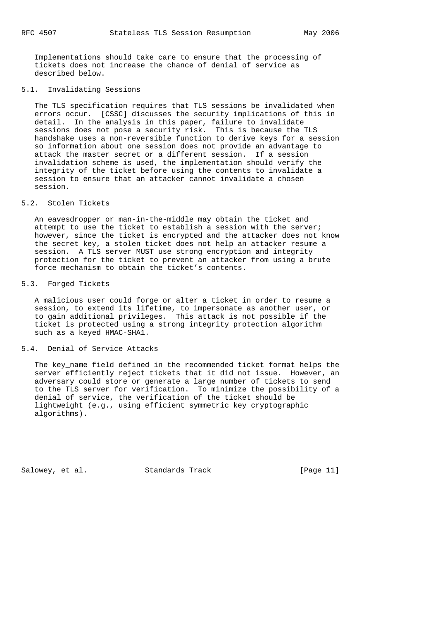Implementations should take care to ensure that the processing of tickets does not increase the chance of denial of service as described below.

### 5.1. Invalidating Sessions

 The TLS specification requires that TLS sessions be invalidated when errors occur. [CSSC] discusses the security implications of this in detail. In the analysis in this paper, failure to invalidate sessions does not pose a security risk. This is because the TLS handshake uses a non-reversible function to derive keys for a session so information about one session does not provide an advantage to attack the master secret or a different session. If a session invalidation scheme is used, the implementation should verify the integrity of the ticket before using the contents to invalidate a session to ensure that an attacker cannot invalidate a chosen session.

## 5.2. Stolen Tickets

 An eavesdropper or man-in-the-middle may obtain the ticket and attempt to use the ticket to establish a session with the server; however, since the ticket is encrypted and the attacker does not know the secret key, a stolen ticket does not help an attacker resume a session. A TLS server MUST use strong encryption and integrity protection for the ticket to prevent an attacker from using a brute force mechanism to obtain the ticket's contents.

### 5.3. Forged Tickets

 A malicious user could forge or alter a ticket in order to resume a session, to extend its lifetime, to impersonate as another user, or to gain additional privileges. This attack is not possible if the ticket is protected using a strong integrity protection algorithm such as a keyed HMAC-SHA1.

#### 5.4. Denial of Service Attacks

 The key\_name field defined in the recommended ticket format helps the server efficiently reject tickets that it did not issue. However, an adversary could store or generate a large number of tickets to send to the TLS server for verification. To minimize the possibility of a denial of service, the verification of the ticket should be lightweight (e.g., using efficient symmetric key cryptographic algorithms).

Salowey, et al. Standards Track [Page 11]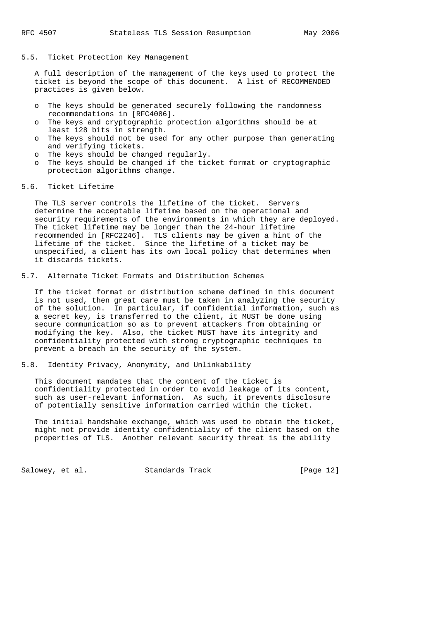5.5. Ticket Protection Key Management

 A full description of the management of the keys used to protect the ticket is beyond the scope of this document. A list of RECOMMENDED practices is given below.

- o The keys should be generated securely following the randomness recommendations in [RFC4086].
- o The keys and cryptographic protection algorithms should be at least 128 bits in strength.
- o The keys should not be used for any other purpose than generating and verifying tickets.
- o The keys should be changed regularly.
- o The keys should be changed if the ticket format or cryptographic protection algorithms change.

# 5.6. Ticket Lifetime

 The TLS server controls the lifetime of the ticket. Servers determine the acceptable lifetime based on the operational and security requirements of the environments in which they are deployed. The ticket lifetime may be longer than the 24-hour lifetime recommended in [RFC2246]. TLS clients may be given a hint of the lifetime of the ticket. Since the lifetime of a ticket may be unspecified, a client has its own local policy that determines when it discards tickets.

5.7. Alternate Ticket Formats and Distribution Schemes

 If the ticket format or distribution scheme defined in this document is not used, then great care must be taken in analyzing the security of the solution. In particular, if confidential information, such as a secret key, is transferred to the client, it MUST be done using secure communication so as to prevent attackers from obtaining or modifying the key. Also, the ticket MUST have its integrity and confidentiality protected with strong cryptographic techniques to prevent a breach in the security of the system.

5.8. Identity Privacy, Anonymity, and Unlinkability

 This document mandates that the content of the ticket is confidentiality protected in order to avoid leakage of its content, such as user-relevant information. As such, it prevents disclosure of potentially sensitive information carried within the ticket.

 The initial handshake exchange, which was used to obtain the ticket, might not provide identity confidentiality of the client based on the properties of TLS. Another relevant security threat is the ability

Salowey, et al. Standards Track [Page 12]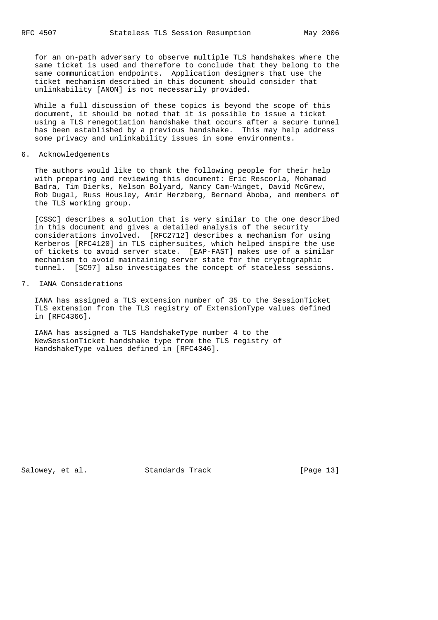for an on-path adversary to observe multiple TLS handshakes where the same ticket is used and therefore to conclude that they belong to the same communication endpoints. Application designers that use the ticket mechanism described in this document should consider that unlinkability [ANON] is not necessarily provided.

 While a full discussion of these topics is beyond the scope of this document, it should be noted that it is possible to issue a ticket using a TLS renegotiation handshake that occurs after a secure tunnel has been established by a previous handshake. This may help address some privacy and unlinkability issues in some environments.

#### 6. Acknowledgements

 The authors would like to thank the following people for their help with preparing and reviewing this document: Eric Rescorla, Mohamad Badra, Tim Dierks, Nelson Bolyard, Nancy Cam-Winget, David McGrew, Rob Dugal, Russ Housley, Amir Herzberg, Bernard Aboba, and members of the TLS working group.

 [CSSC] describes a solution that is very similar to the one described in this document and gives a detailed analysis of the security considerations involved. [RFC2712] describes a mechanism for using Kerberos [RFC4120] in TLS ciphersuites, which helped inspire the use of tickets to avoid server state. [EAP-FAST] makes use of a similar mechanism to avoid maintaining server state for the cryptographic tunnel. [SC97] also investigates the concept of stateless sessions.

### 7. IANA Considerations

 IANA has assigned a TLS extension number of 35 to the SessionTicket TLS extension from the TLS registry of ExtensionType values defined in [RFC4366].

 IANA has assigned a TLS HandshakeType number 4 to the NewSessionTicket handshake type from the TLS registry of HandshakeType values defined in [RFC4346].

Salowey, et al. Standards Track [Page 13]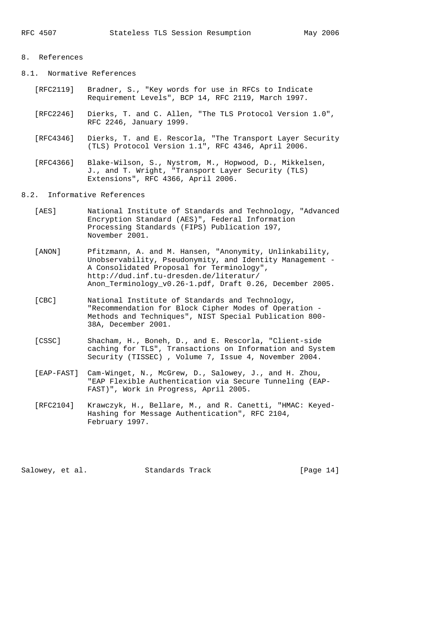# 8. References

- 8.1. Normative References
	- [RFC2119] Bradner, S., "Key words for use in RFCs to Indicate Requirement Levels", BCP 14, RFC 2119, March 1997.
	- [RFC2246] Dierks, T. and C. Allen, "The TLS Protocol Version 1.0", RFC 2246, January 1999.
	- [RFC4346] Dierks, T. and E. Rescorla, "The Transport Layer Security (TLS) Protocol Version 1.1", RFC 4346, April 2006.
	- [RFC4366] Blake-Wilson, S., Nystrom, M., Hopwood, D., Mikkelsen, J., and T. Wright, "Transport Layer Security (TLS) Extensions", RFC 4366, April 2006.
- 8.2. Informative References
	- [AES] National Institute of Standards and Technology, "Advanced Encryption Standard (AES)", Federal Information Processing Standards (FIPS) Publication 197, November 2001.
	- [ANON] Pfitzmann, A. and M. Hansen, "Anonymity, Unlinkability, Unobservability, Pseudonymity, and Identity Management - A Consolidated Proposal for Terminology", http://dud.inf.tu-dresden.de/literatur/ Anon\_Terminology\_v0.26-1.pdf, Draft 0.26, December 2005.
	- [CBC] National Institute of Standards and Technology, "Recommendation for Block Cipher Modes of Operation - Methods and Techniques", NIST Special Publication 800- 38A, December 2001.
	- [CSSC] Shacham, H., Boneh, D., and E. Rescorla, "Client-side caching for TLS", Transactions on Information and System Security (TISSEC) , Volume 7, Issue 4, November 2004.
	- [EAP-FAST] Cam-Winget, N., McGrew, D., Salowey, J., and H. Zhou, "EAP Flexible Authentication via Secure Tunneling (EAP- FAST)", Work in Progress, April 2005.
	- [RFC2104] Krawczyk, H., Bellare, M., and R. Canetti, "HMAC: Keyed- Hashing for Message Authentication", RFC 2104, February 1997.

Salowey, et al. Standards Track [Page 14]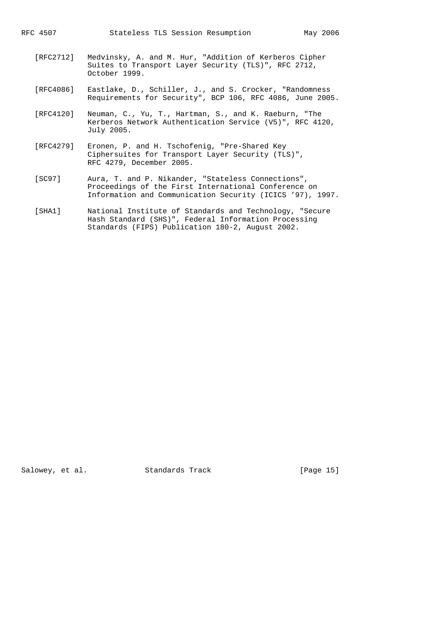- [RFC2712] Medvinsky, A. and M. Hur, "Addition of Kerberos Cipher Suites to Transport Layer Security (TLS)", RFC 2712, October 1999.
- [RFC4086] Eastlake, D., Schiller, J., and S. Crocker, "Randomness Requirements for Security", BCP 106, RFC 4086, June 2005.
- [RFC4120] Neuman, C., Yu, T., Hartman, S., and K. Raeburn, "The Kerberos Network Authentication Service (V5)", RFC 4120, July 2005.
- [RFC4279] Eronen, P. and H. Tschofenig, "Pre-Shared Key Ciphersuites for Transport Layer Security (TLS)", RFC 4279, December 2005.
- [SC97] Aura, T. and P. Nikander, "Stateless Connections", Proceedings of the First International Conference on Information and Communication Security (ICICS '97), 1997.
- [SHA1] National Institute of Standards and Technology, "Secure Hash Standard (SHS)", Federal Information Processing Standards (FIPS) Publication 180-2, August 2002.

Salowey, et al. Standards Track [Page 15]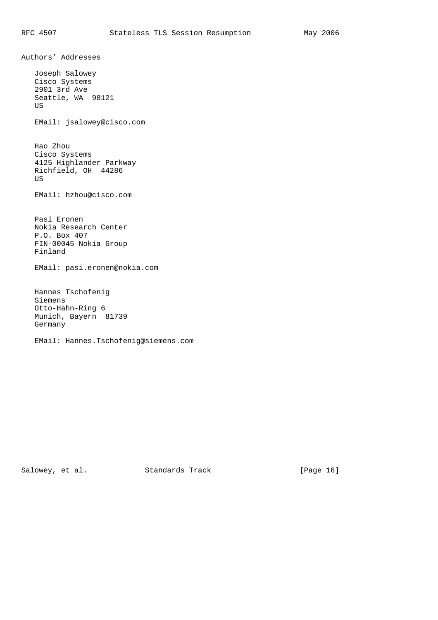Authors' Addresses

 Joseph Salowey Cisco Systems 2901 3rd Ave Seattle, WA 98121 US

EMail: jsalowey@cisco.com

 Hao Zhou Cisco Systems 4125 Highlander Parkway Richfield, OH 44286 US

EMail: hzhou@cisco.com

 Pasi Eronen Nokia Research Center P.O. Box 407 FIN-00045 Nokia Group Finland

EMail: pasi.eronen@nokia.com

 Hannes Tschofenig Siemens Otto-Hahn-Ring 6 Munich, Bayern 81739 Germany

EMail: Hannes.Tschofenig@siemens.com

Salowey, et al. Standards Track [Page 16]